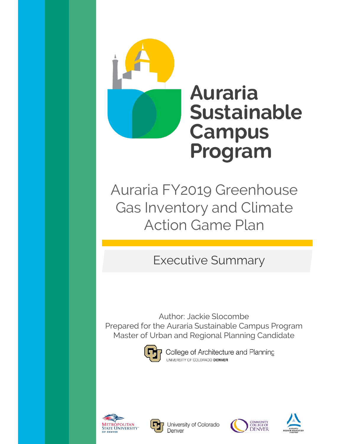

Auraria FY2019 Greenhouse Gas Inventory and Climate Action Game Plan

# Executive Summary

Author: Jackie Slocombe Prepared for the Auraria Sustainable Campus Program Master of Urban and Regional Planning Candidate



College of Architecture and Planning UNIVERSITY OF COLORADO DENVER





University of Colorado Denver



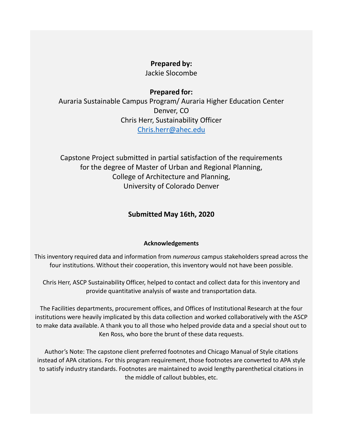### **Prepared by:**

Jackie Slocombe

### **Prepared for:**

Auraria Sustainable Campus Program/ Auraria Higher Education Center Denver, CO Chris Herr, Sustainability Officer [Chris.herr@ahec.edu](mailto:Chris.herr@ahec.edu)

Capstone Project submitted in partial satisfaction of the requirements for the degree of Master of Urban and Regional Planning, College of Architecture and Planning, University of Colorado Denver

### **Submitted May 16th, 2020**

#### **Acknowledgements**

This inventory required data and information from *numerous* campus stakeholders spread across the four institutions. Without their cooperation, this inventory would not have been possible.

Chris Herr, ASCP Sustainability Officer, helped to contact and collect data for this inventory and provide quantitative analysis of waste and transportation data.

The Facilities departments, procurement offices, and Offices of Institutional Research at the four institutions were heavily implicated by this data collection and worked collaboratively with the ASCP to make data available. A thank you to all those who helped provide data and a special shout out to Ken Ross, who bore the brunt of these data requests.

Author's Note: The capstone client preferred footnotes and Chicago Manual of Style citations instead of APA citations. For this program requirement, those footnotes are converted to APA style to satisfy industry standards. Footnotes are maintained to avoid lengthy parenthetical citations in the middle of callout bubbles, etc.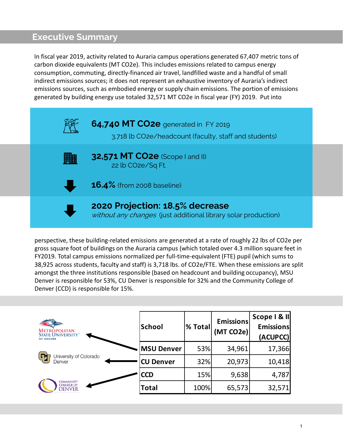In fiscal year 2019, activity related to Auraria campus operations generated 67,407 metric tons of carbon dioxide equivalents (MT CO2e). This includes emissions related to campus energy consumption, commuting, directly-financed air travel, landfilled waste and a handful of small indirect emissions sources; it does not represent an exhaustive inventory of Auraria's indirect emissions sources, such as embodied energy or supply chain emissions. The portion of emissions generated by building energy use totaled 32,571 MT CO2e in fiscal year (FY) 2019. Put into



perspective, these building-related emissions are generated at a rate of roughly 22 lbs of CO2e per gross square foot of buildings on the Auraria campus (which totaled over 4.3 million square feet in FY2019. Total campus emissions normalized per full-time-equivalent (FTE) pupil (which sums to 38,925 across students, faculty and staff) is 3,718 lbs. of CO2e/FTE. When these emissions are split amongst the three institutions responsible (based on headcount and building occupancy), MSU Denver is responsible for 53%, CU Denver is responsible for 32% and the Community College of Denver (CCD) is responsible for 15%.

| <b>METROPOLITAN</b><br><b>STATE UNIVERSITY"</b><br>OF DENVER | <b>School</b>     | % Total | <b>Emissions</b><br>(MT CO2e) | Scope I & II<br><b>Emissions</b><br>(ACUPCC) |
|--------------------------------------------------------------|-------------------|---------|-------------------------------|----------------------------------------------|
| University of Colorado<br>м<br>Denver                        | <b>MSU Denver</b> | 53%     | 34,961                        | 17,366                                       |
|                                                              | <b>CU Denver</b>  | 32%     | 20,973                        | 10,418                                       |
| <b>COMMUNITY</b><br><b>COLLEGE OF</b><br>denver              | <b>CCD</b>        | 15%     | 9,638                         | 4,787                                        |
|                                                              | Total             | 100%    | 65,573                        | 32,571                                       |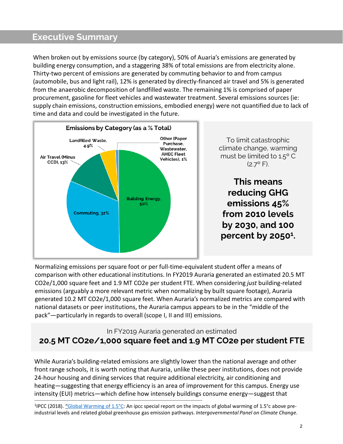When broken out by emissions source (by category), 50% of Auaria's emissions are generated by building energy consumption, and a staggering 38% of total emissions are from electricity alone. Thirty-two percent of emissions are generated by commuting behavior to and from campus (automobile, bus and light rail), 12% is generated by directly-financed air travel and 5% is generated from the anaerobic decomposition of landfilled waste. The remaining 1% is comprised of paper procurement, gasoline for fleet vehicles and wastewater treatment. Several emissions sources (ie: supply chain emissions, construction emissions, embodied energy) were not quantified due to lack of time and data and could be investigated in the future.



Normalizing emissions per square foot or per full-time-equivalent student offer a means of comparison with other educational institutions. In FY2019 Auraria generated an estimated 20.5 MT CO2e/1,000 square feet and 1.9 MT CO2e per student FTE. When considering *just* building-related emissions (arguably a more relevant metric when normalizing by built square footage), Auraria generated 10.2 MT CO2e/1,000 square feet. When Auraria's normalized metrics are compared with national datasets or peer institutions, the Auraria campus appears to be in the "middle of the pack"—particularly in regards to overall (scope I, II and III) emissions.

### In FY2019 Auraria generated an estimated **20.5 MT CO2e/1,000 square feet and 1.9 MT CO2e per student FTE**

While Auraria's building-related emissions are slightly lower than the national average and other front range schools, it is worth noting that Auraria, unlike these peer institutions, does not provide 24-hour housing and dining services that require additional electricity, air conditioning and heating—suggesting that energy efficiency is an area of improvement for this campus. Energy use intensity (EUI) metrics—which define how intensely buildings consume energy—suggest that \_\_\_\_\_\_\_\_\_\_\_\_\_\_\_\_\_\_\_\_\_\_\_\_\_\_\_\_\_\_\_\_\_\_\_\_\_\_\_\_\_\_\_\_\_\_\_\_\_\_\_\_\_\_\_\_\_\_\_\_\_\_\_\_\_\_\_\_\_\_\_\_\_\_\_\_\_\_\_\_\_\_\_\_\_\_\_\_\_

1IPCC (2018). "[Global Warming of 1.5°C:](https://www.ipcc.ch/sr15/) An ipcc special report on the impacts of global warming of 1.5°c above preindustrial levels and related global greenhouse gas emission pathways. *Intergovernmental Panel on Climate Change*.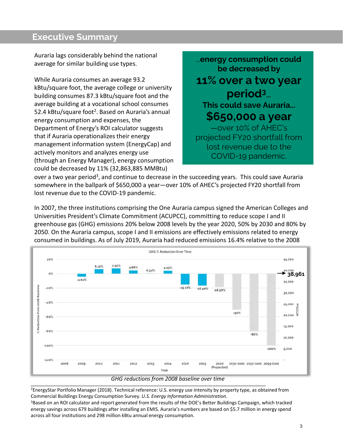Auraria lags considerably behind the national average for similar building use types.

While Auraria consumes an average 93.2 kBtu/square foot, the average college or university building consumes 87.3 kBtu/square foot and the average building at a vocational school consumes 52.4 kBtu/square foot<sup>2</sup>. Based on Auraria's annual energy consumption and expenses, the Department of Energy's ROI calculator suggests that if Auraria operationalizes their energy management information system (EnergyCap) and actively monitors and analyzes energy use (through an Energy Manager), energy consumption could be decreased by 11% (32,863,885 MMBtu)

…**energy consumption could be decreased by 11% over a two year period3**… **This could save Auraria... \$650,000 a year** —over 10% of AHEC's projected FY20 shortfall from lost revenue due to the COVID-19 pandemic.

over a two year period<sup>3</sup>, and continue to decrease in the succeeding years. This could save Auraria somewhere in the ballpark of \$650,000 a year—over 10% of AHEC's projected FY20 shortfall from lost revenue due to the COVID-19 pandemic.

In 2007, the three institutions comprising the One Auraria campus signed the American Colleges and Universities President's Climate Commitment (ACUPCC), committing to reduce scope I and II greenhouse gas (GHG) emissions 20% below 2008 levels by the year 2020, 50% by 2030 and 80% by 2050. On the Auraria campus, scope I and II emissions are effectively emissions related to energy consumed in buildings. As of July 2019, Auraria had reduced emissions 16.4% relative to the 2008



2EnergyStar Portfolio Manager (2018). Technical reference: U.S. energy use intensity by property type, as obtained from Commercial Buildings Energy Consumption Survey*. U.S. Energy Information Administration*.

<sup>3</sup>Based on an ROI calculator and report generated from the results of the DOE's Better Buildings Campaign, which tracked energy savings across 679 buildings after installing an EMIS. Auraria's numbers are based on \$5.7 million in energy spend across all four institutions and 298 million kBtu annual energy consumption.